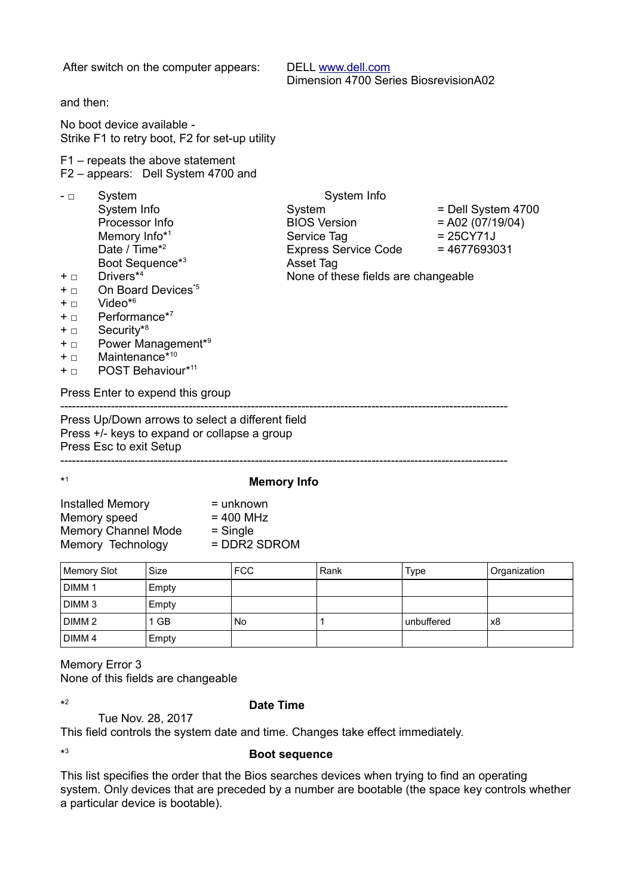| After switch on the computer appears:                                                                                                                                                                                                                                                                                                                                                     | DELL www.dell.com<br>Dimension 4700 Series BiosrevisionA02                                                                              |                                                                           |  |
|-------------------------------------------------------------------------------------------------------------------------------------------------------------------------------------------------------------------------------------------------------------------------------------------------------------------------------------------------------------------------------------------|-----------------------------------------------------------------------------------------------------------------------------------------|---------------------------------------------------------------------------|--|
| and then:                                                                                                                                                                                                                                                                                                                                                                                 |                                                                                                                                         |                                                                           |  |
| No boot device available -<br>Strike F1 to retry boot, F2 for set-up utility                                                                                                                                                                                                                                                                                                              |                                                                                                                                         |                                                                           |  |
| F1 – repeats the above statement<br>F2 - appears: Dell System 4700 and                                                                                                                                                                                                                                                                                                                    |                                                                                                                                         |                                                                           |  |
| System<br>- □<br>System Info<br>Processor Info<br>Memory Info*1<br>Date / Time <sup>*2</sup><br>Boot Sequence <sup>*3</sup><br>Drivers*4<br>+ □<br>On Board Devices <sup>*5</sup><br>+ □<br>Video $*6$<br>+ □<br>Performance*7<br>+ □<br>Security <sup>*8</sup><br>$+$ $\Box$<br>Power Management <sup>*9</sup><br>$+$ $\Box$<br>Maintenance*10<br>$+$ $\Box$<br>POST Behaviour*11<br>+ □ | System Info<br>System<br><b>BIOS Version</b><br>Service Tag<br>Express Service Code<br>Asset Tag<br>None of these fields are changeable | = Dell System 4700<br>$= A02 (07/19/04)$<br>$= 25CY71J$<br>$= 4677693031$ |  |
| Press Enter to expend this group                                                                                                                                                                                                                                                                                                                                                          |                                                                                                                                         |                                                                           |  |
| Press Up/Down arrows to select a different field<br>Press +/- keys to expand or collapse a group<br>Press Esc to exit Setup                                                                                                                                                                                                                                                               |                                                                                                                                         |                                                                           |  |
| *1                                                                                                                                                                                                                                                                                                                                                                                        | <b>Memory Info</b>                                                                                                                      |                                                                           |  |
| <b>Installed Memory</b><br>= unknown<br>Memory speed<br>$= 400$ MHz<br>Memory Channel Mode = Single<br>= DDR2 SDROM<br>Memory Technology                                                                                                                                                                                                                                                  |                                                                                                                                         |                                                                           |  |

| Memory Slot       | Size  | <b>FCC</b> | Rank | Type       | Organization |
|-------------------|-------|------------|------|------------|--------------|
| DIMM <sub>1</sub> | Empty |            |      |            |              |
| DIMM <sub>3</sub> | Empty |            |      |            |              |
| DIMM <sub>2</sub> | 1 GB  | No         |      | unbuffered | x8           |
| DIMM <sub>4</sub> | Empty |            |      |            |              |

Memory Error 3 None of this fields are changeable

 $\star 2$ 

## <sup>2</sup> **Date Time**

Tue Nov. 28, 2017

This field controls the system date and time. Changes take effect immediately.

 $*3$ 

<sup>3</sup> **Boot sequence** 

This list specifies the order that the Bios searches devices when trying to find an operating system. Only devices that are preceded by a number are bootable (the space key controls whether a particular device is bootable).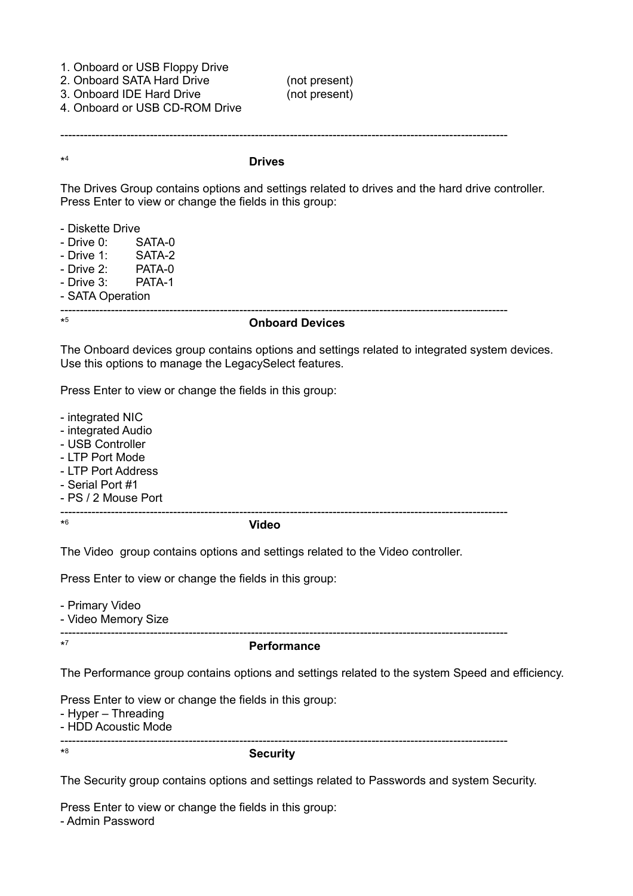| 1. Onboard or USB Floppy Drive<br>2. Onboard SATA Hard Drive<br>3. Onboard IDE Hard Drive<br>4. Onboard or USB CD-ROM Drive                                | (not present)<br>(not present) |  |  |
|------------------------------------------------------------------------------------------------------------------------------------------------------------|--------------------------------|--|--|
| $*4$                                                                                                                                                       | <b>Drives</b>                  |  |  |
| The Drives Group contains options and settings related to drives and the hard drive controller.<br>Press Enter to view or change the fields in this group: |                                |  |  |
| - Diskette Drive                                                                                                                                           |                                |  |  |

| $-Drive 0: SATA-0$  |  |  |  |
|---------------------|--|--|--|
| - Drive 1: $SATA-2$ |  |  |  |
| - Drive $2:$ PATA-0 |  |  |  |
| - Drive $3:$ PATA-1 |  |  |  |
| - SATA Operation    |  |  |  |
|                     |  |  |  |

 $*5$ 

### <sup>5</sup> **Onboard Devices**

The Onboard devices group contains options and settings related to integrated system devices. Use this options to manage the LegacySelect features.

Press Enter to view or change the fields in this group:

- integrated NIC

- integrated Audio
- USB Controller
- LTP Port Mode
- LTP Port Address
- Serial Port #1
- PS / 2 Mouse Port

-------------------------------------------------------------------------------------------------------------------

 $*6$ 

#### <sup>6</sup> **Video**

The Video group contains options and settings related to the Video controller.

Press Enter to view or change the fields in this group:

- Primary Video

- Video Memory Size

-------------------------------------------------------------------------------------------------------------------

 $\star$ 7

#### <sup>7</sup> **Performance**

The Performance group contains options and settings related to the system Speed and efficiency.

Press Enter to view or change the fields in this group:

- Hyper – Threading

- HDD Acoustic Mode

-------------------------------------------------------------------------------------------------------------------

\*

#### <sup>8</sup> **Security**

The Security group contains options and settings related to Passwords and system Security.

Press Enter to view or change the fields in this group: - Admin Password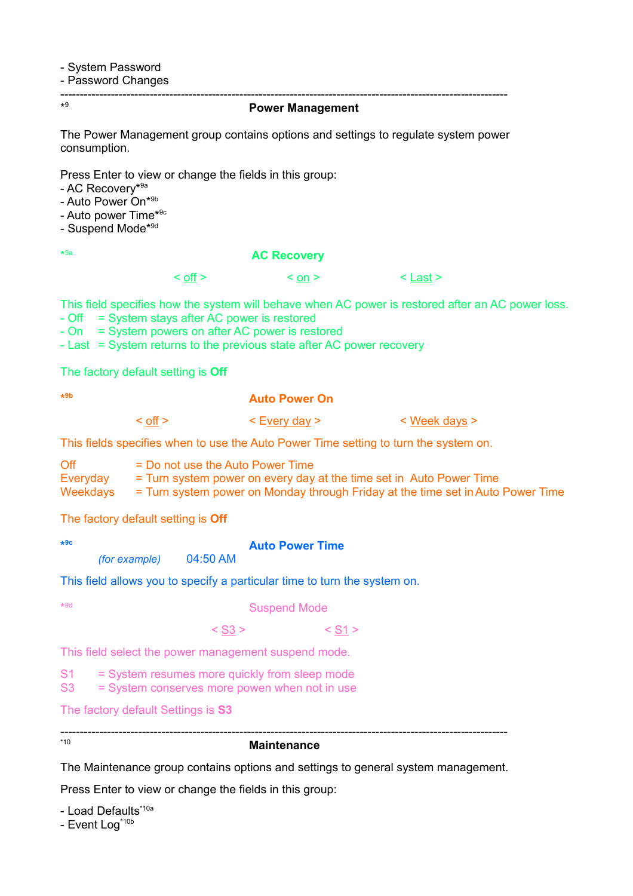- System Password

- Password Changes

------------------------------------------------------------------------------------------------------------------- \*9

#### <sup>9</sup>**Power Management**

The Power Management group contains options and settings to regulate system power consumption.

Press Enter to view or change the fields in this group:

- AC Recoverv<sup>\*9a</sup>

- Auto Power On\*9b

- Auto power Time\*9c

- Suspend Mode\*<sup>9d</sup>

 $*9a$ 

#### **AC Recovery**

 $\langle \text{off} \rangle$   $\langle \text{on} \rangle$   $\langle \text{C} \rangle$   $\langle \text{Last} \rangle$ 

This field specifies how the system will behave when AC power is restored after an AC power loss.

- Off = System stays after AC power is restored

- On = System powers on after AC power is restored

- Last = System returns to the previous state after AC power recovery

The factory default setting is **Off** 

**\***

# **9b Auto Power On**

< off >  $\leq$  Every day >  $\leq$  Week days >

This fields specifies when to use the Auto Power Time setting to turn the system on.

| Off      | $=$ Do not use the Auto Power Time                                              |
|----------|---------------------------------------------------------------------------------|
| Everyday | = Turn system power on every day at the time set in Auto Power Time             |
| Weekdays | = Turn system power on Monday through Friday at the time set in Auto Power Time |

The factory default setting is **Off** 

**\***

## **9c Auto Power Time**

*(for example)* 04:50 AM

This field allows you to specify a particular time to turn the system on.

 $*9d$ 

## **Suspend Mode**

 $<$  S3 >  $<$  S1 >

This field select the power management suspend mode.

S1 = System resumes more quickly from sleep mode

S3 = System conserves more powen when not in use

The factory default Settings is **S3**

-------------------------------------------------------------------------------------------------------------------

## \*10 **Maintenance**

The Maintenance group contains options and settings to general system management.

Press Enter to view or change the fields in this group:

- Load Defaults\*<sup>10a</sup>

- Event Log<sup>\*10b</sup>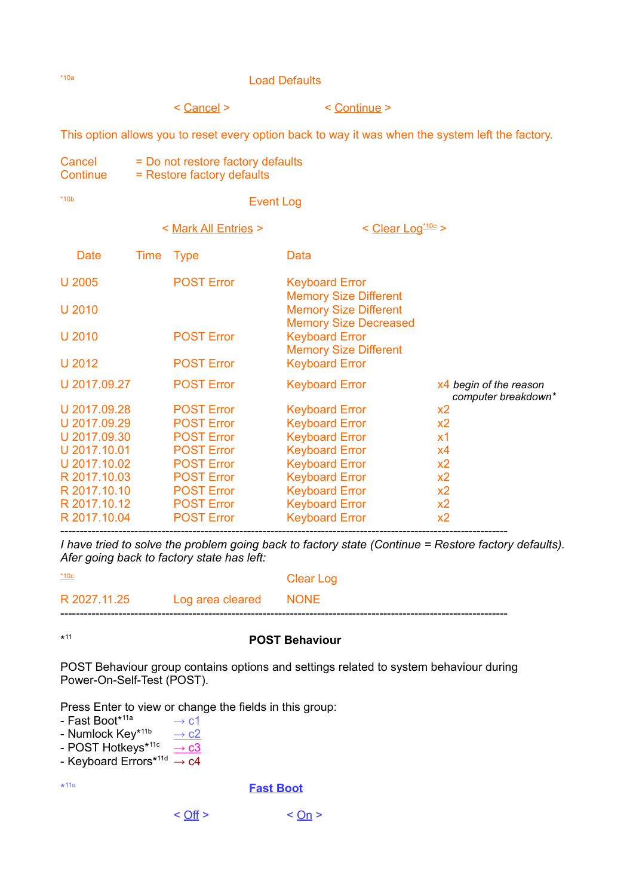## \*10a Load Defaults

< Cancel > < Continue >

This option allows you to reset every option back to way it was when the system left the factory.

Cancel = Do not restore factory defaults Continue = Restore factory defaults

# \*10b Event Log

|              |      | < Mark All Entries > | < Clear Log <sup>*10c</sup> >                                                                |                                                 |
|--------------|------|----------------------|----------------------------------------------------------------------------------------------|-------------------------------------------------|
| Date         | Time | <b>Type</b>          | Data                                                                                         |                                                 |
| U 2005       |      | <b>POST Error</b>    | <b>Keyboard Error</b>                                                                        |                                                 |
| U 2010       |      |                      | <b>Memory Size Different</b><br><b>Memory Size Different</b><br><b>Memory Size Decreased</b> |                                                 |
| U 2010       |      | <b>POST Error</b>    | <b>Keyboard Error</b>                                                                        |                                                 |
| U 2012       |      | <b>POST Error</b>    | <b>Memory Size Different</b><br><b>Keyboard Error</b>                                        |                                                 |
| U 2017.09.27 |      | <b>POST Error</b>    | <b>Keyboard Error</b>                                                                        | $x4$ begin of the reason<br>computer breakdown* |
| U 2017.09.28 |      | <b>POST Error</b>    | <b>Keyboard Error</b>                                                                        | x2                                              |
| U 2017.09.29 |      | <b>POST Error</b>    | <b>Keyboard Error</b>                                                                        | x <sub>2</sub>                                  |
| U 2017.09.30 |      | <b>POST Error</b>    | <b>Keyboard Error</b>                                                                        | <b>x1</b>                                       |
| U 2017.10.01 |      | <b>POST Error</b>    | <b>Keyboard Error</b>                                                                        | x4                                              |
| U 2017.10.02 |      | <b>POST Error</b>    | <b>Keyboard Error</b>                                                                        | x2                                              |
| R 2017.10.03 |      | <b>POST Error</b>    | <b>Keyboard Error</b>                                                                        | x2                                              |
| R 2017.10.10 |      | <b>POST Error</b>    | <b>Keyboard Error</b>                                                                        | x2                                              |
| R 2017.10.12 |      | <b>POST Error</b>    | <b>Keyboard Error</b>                                                                        | x2                                              |
| R 2017.10.04 |      | <b>POST Error</b>    | <b>Keyboard Error</b>                                                                        | x2                                              |

------------------------------------------------------------------------------------------------------------------- *I have tried to solve the problem going back to factory state (Continue = Restore factory defaults). Afer going back to factory state has left:* 

| $*10c$ |                                    | Clear Log |
|--------|------------------------------------|-----------|
|        | R 2027.11.25 Log area cleared NONE |           |
|        |                                    |           |

 $*11$ 

### <sup>11</sup> **POST Behaviour**

POST Behaviour group contains options and settings related to system behaviour during Power-On-Self-Test (POST).

Press Enter to view or change the fields in this group:

- $-$  Fast Boot<sup>\*11a</sup>  $\rightarrow$  c1
- Numlock Key<sup>∗11b</sup> <u>→ c2</u>
- POST Hotkeys\*<sup>11c</sup> → <u>c3</u>
- Keyboard Errors $^{\star 11d} \rightarrow c4$

\* 11a

#### **Fast Boot**

$$
< \underline{\text{Off}} > \qquad < \underline{\text{On}} >
$$